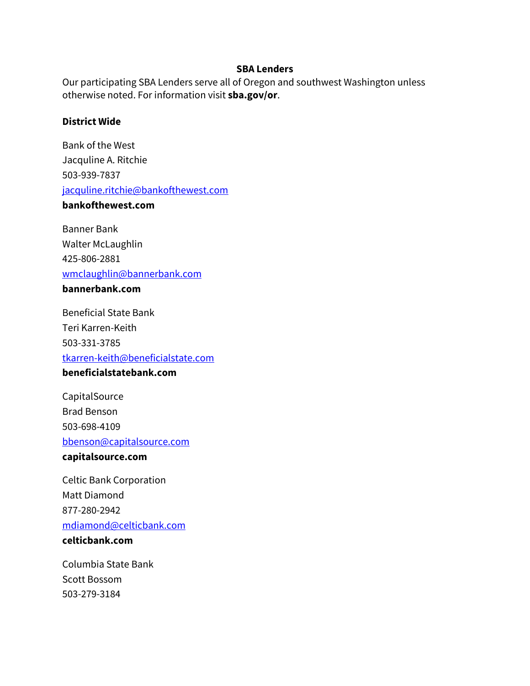#### **SBA Lenders**

Our participating SBA Lenders serve all of Oregon and southwest Washington unless otherwise noted. For information visit **sba.gov/or**.

# **District Wide**

Bank of the West Jacquline A. Ritchie 503-939-7837 [jacquline.ritchie@bankofthewest.com](mailto:jacquline.ritchie@bankofthewest.com)

# **bankofthewest.com**

Banner Bank Walter McLaughlin 425-806-2881 [wmclaughlin@bannerbank.com](mailto:wmclaughlin@bannerbank.com)

# **bannerbank.com**

Beneficial State Bank Teri Karren-Keith 503-331-3785 [tkarren-keith@beneficialstate.com](mailto:tkarren-keith@beneficialstate.com) **beneficialstatebank.com**

**CapitalSource** Brad Benson 503-698-4109 [bbenson@capitalsource.com](mailto:bbenson@capitalsource.com)

# **capitalsource.com**

Celtic Bank Corporation Matt Diamond 877-280-2942 [mdiamond@celticbank.com](mailto:mdiamond@celticbank.com)

# **celticbank.com**

Columbia State Bank Scott Bossom 503-279-3184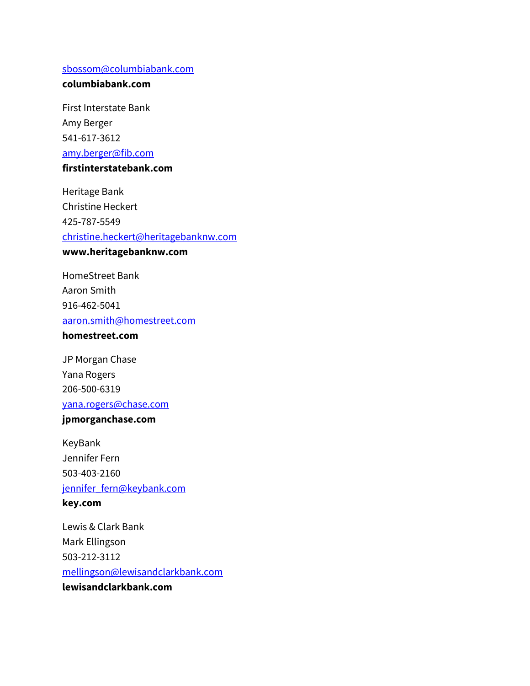#### [sbossom@columbiabank.com](mailto:sbossom@columbiabank.com)

## **columbiabank.com**

First Interstate Bank Amy Berger 541-617-3612 [amy.berger@fib.com](mailto:amy.berger@fib.com)

# **firstinterstatebank.com**

Heritage Bank Christine Heckert 425-787-5549 [christine.heckert@heritagebanknw.com](mailto:christine.heckert@heritagebanknw.com) **www.heritagebanknw.com**

HomeStreet Bank Aaron Smith 916-462-5041 [aaron.smith@homestreet.com](mailto:aaron.smith@homestreet.com)

# **homestreet.com**

JP Morgan Chase Yana Rogers 206-500-6319 [yana.rogers@chase.com](mailto:yana.rogers@chase.com)

#### **jpmorganchase.com**

KeyBank Jennifer Fern 503-403-2160 [jennifer\\_fern@keybank.com](mailto:jennifer_fern@keybank.com) **key.com**

Lewis & Clark Bank Mark Ellingson 503-212-3112 [mellingson@lewisandclarkbank.com](mailto:mellingson@lewisandclarkbank.com) **lewisandclarkbank.com**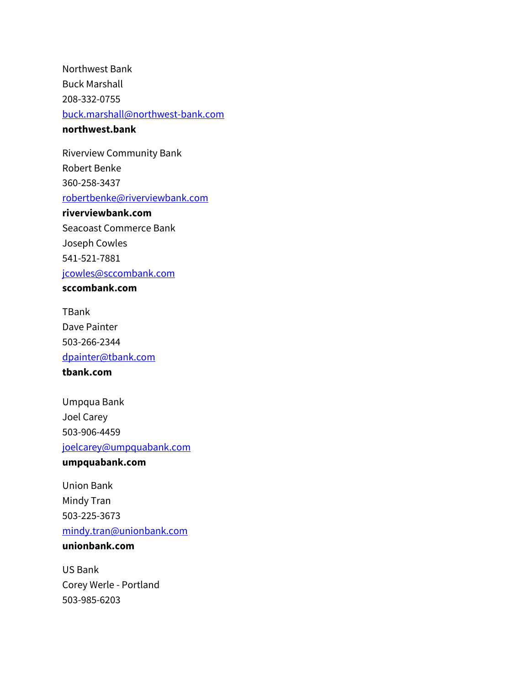Northwest Bank Buck Marshall 208-332-0755 [buck.marshall@northwest-bank.com](mailto:buck.marshall@northwest-bank.com) **northwest.bank**

Riverview Community Bank Robert Benke 360-258-3437 [robertbenke@riverviewbank.com](mailto:robertbenke@riverviewbank.com)

# **riverviewbank.com**

Seacoast Commerce Bank Joseph Cowles 541-521-7881 [jcowles@sccombank.com](mailto:jcowles@sccombank.com) **sccombank.com**

TBank Dave Painter 503-266-2344 [dpainter@tbank.com](mailto:dpainter@tbank.com)

**tbank.com**

Umpqua Bank Joel Carey 503-906-4459 [joelcarey@umpquabank.com](mailto:joelcarey@umpquabank.com)

**umpquabank.com**

Union Bank Mindy Tran 503-225-3673 [mindy.tran@unionbank.com](mailto:mindy.tran@unionbank.com) **unionbank.com**

US Bank Corey Werle - Portland 503-985-6203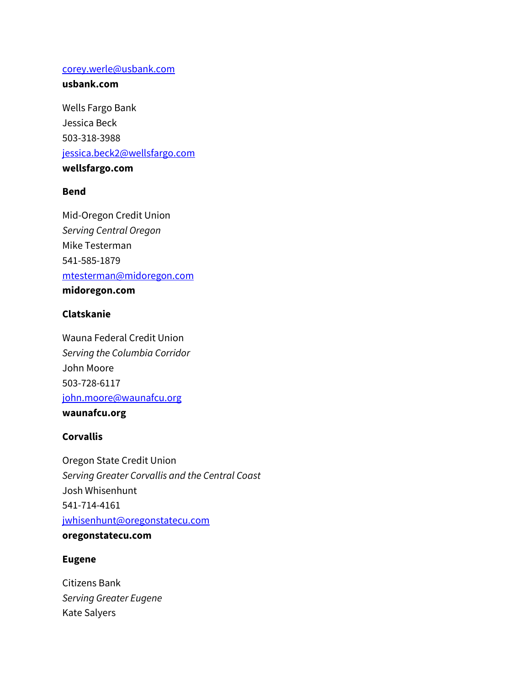#### [corey.werle@usbank.com](mailto:corey.werle@usbank.com)

## **usbank.com**

Wells Fargo Bank Jessica Beck 503-318-3988 [jessica.beck2@wellsfargo.com](mailto:jessica.beck2@wellsfargo.com) **wellsfargo.com**

# **Bend**

Mid-Oregon Credit Union *Serving Central Oregon* Mike Testerman 541-585-1879 [mtesterman@midoregon.com](mailto:mtesterman@midoregon.com) **midoregon.com**

# **Clatskanie**

Wauna Federal Credit Union *Serving the Columbia Corridor* John Moore 503-728-6117 [john.moore@waunafcu.org](mailto:john.moore@waunafcu.org)

# **waunafcu.org**

# **Corvallis**

Oregon State Credit Union *Serving Greater Corvallis and the Central Coast* Josh Whisenhunt 541-714-4161 [jwhisenhunt@oregonstatecu.com](mailto:jwhisenhunt@oregonstatecu.com) **oregonstatecu.com**

# **Eugene**

Citizens Bank *Serving Greater Eugene* Kate Salyers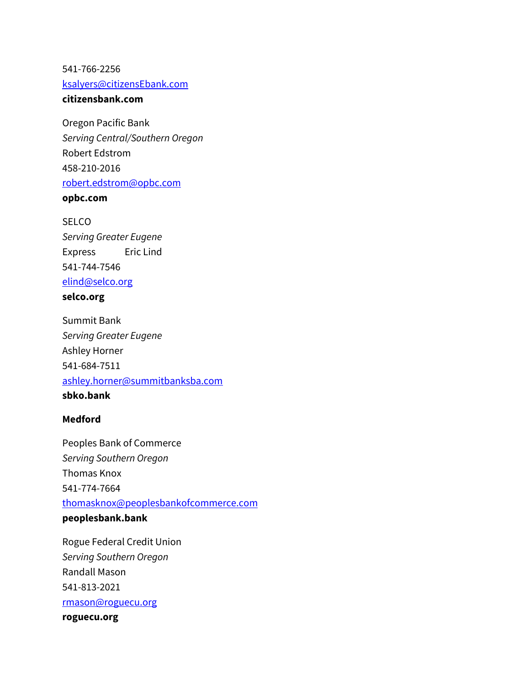541-766-2256 [ksalyers@citizensEbank.com](mailto:ksalyers@citizensEbank.com)

# **citizensbank.com**

Oregon Pacific Bank *Serving Central/Southern Oregon* Robert Edstrom 458-210-2016 [robert.edstrom@opbc.com](mailto:robert.edstrom@opbc.com)

**opbc.com**

**SELCO** *Serving Greater Eugene* Express Eric Lind 541-744-7546 [elind@selco.org](mailto:elind@selco.org)

# **selco.org**

Summit Bank *Serving Greater Eugene* Ashley Horner 541-684-7511 [ashley.horner@summitbanksba.com](mailto:ashley.horner@summitbanksba.com) **sbko.bank**

#### **Medford**

Peoples Bank of Commerce *Serving Southern Oregon* Thomas Knox 541-774-7664 [thomasknox@peoplesbankofcommerce.com](mailto:thomasknox@peoplesbankofcommerce.com) **peoplesbank.bank**

Rogue Federal Credit Union *Serving Southern Oregon* Randall Mason 541-813-2021 [rmason@roguecu.org](mailto:rmason@roguecu.org)

**roguecu.org**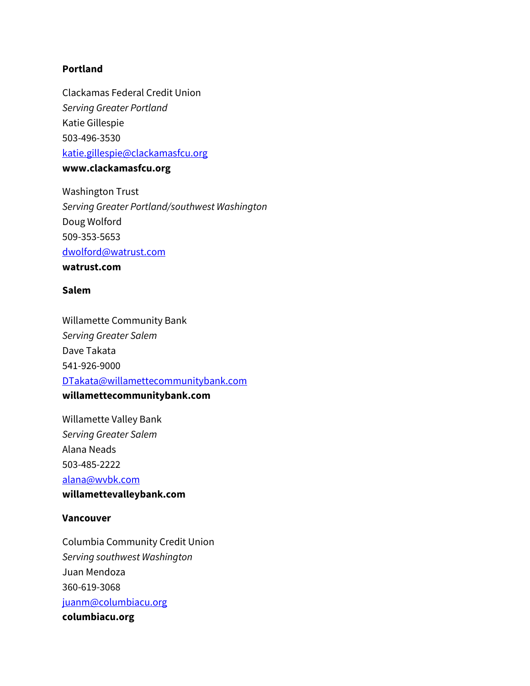#### **Portland**

Clackamas Federal Credit Union *Serving Greater Portland* Katie Gillespie 503-496-3530 [katie.gillespie@clackamasfcu.org](mailto:katie.gillespie@clackamasfcu.org)

**www.clackamasfcu.org**

Washington Trust *Serving Greater Portland/southwest Washington* Doug Wolford 509-353-5653 [dwolford@watrust.com](mailto:dwolford@watrust.com)

**watrust.com**

### **Salem**

Willamette Community Bank *Serving Greater Salem* Dave Takata 541-926-9000 [DTakata@willamettecommunitybank.com](mailto:DTakata@willamettecommunitybank.com) **willamettecommunitybank.com**

Willamette Valley Bank *Serving Greater Salem* Alana Neads 503-485-2222 [alana@wvbk.com](mailto:alana@wvbk.com)

**willamettevalleybank.com**

#### **Vancouver**

Columbia Community Credit Union *Serving southwest Washington* Juan Mendoza 360-619-3068 [juanm@columbiacu.org](mailto:juanm@columbiacu.org) **columbiacu.org**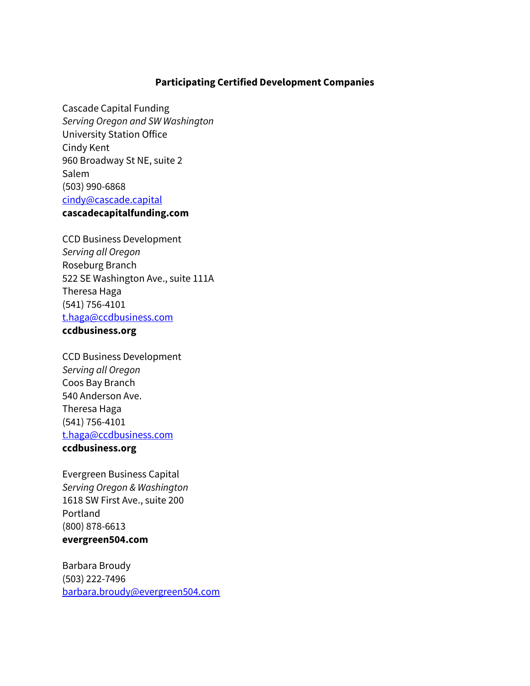#### **Participating Certified Development Companies**

Cascade Capital Funding *Serving Oregon and SW Washington* University Station Office Cindy Kent 960 Broadway St NE, suite 2 Salem (503) 990-6868 [cindy@cascade.capital](mailto:cindy@cascade.capital) **cascadecapitalfunding.com**

CCD Business Development *Serving all Oregon* Roseburg Branch 522 SE Washington Ave., suite 111A Theresa Haga (541) 756-4101 [t.haga@ccdbusiness.com](mailto:t.haga@ccdbusiness.com) **ccdbusiness.org**

# CCD Business Development *Serving all Oregon* Coos Bay Branch

540 Anderson Ave. Theresa Haga (541) 756-4101 [t.haga@ccdbusiness.com](mailto:t.haga@ccdbusiness.com) **ccdbusiness.org**

Evergreen Business Capital *Serving Oregon & Washington* 1618 SW First Ave., suite 200 Portland (800) 878-6613 **evergreen504.com**

Barbara Broudy (503) 222-7496 [barbara.broudy@evergreen504.com](mailto:barbara.broudy@evergreen504.com)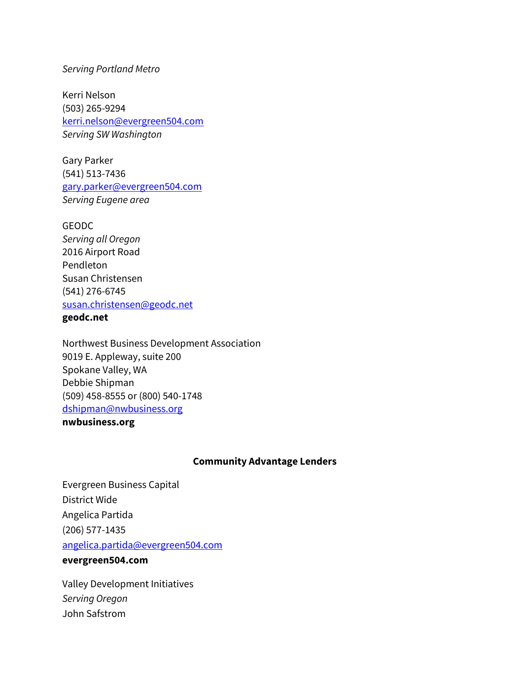#### *Serving Portland Metro*

Kerri Nelson (503) 265-9294 [kerri.nelson@evergreen504.com](mailto:kerri.nelson@evergreen504.com) *Serving SW Washington*

Gary Parker (541) 513-7436 [gary.parker@evergreen504.com](mailto:gary.parker@evergreen504.com) *Serving Eugene area*

GEODC *Serving all Oregon* 2016 Airport Road Pendleton Susan Christensen (541) 276-6745 [susan.christensen@geodc.net](mailto:susan.christensen@geodc.net)

### **geodc.net**

Northwest Business Development Association 9019 E. Appleway, suite 200 Spokane Valley, WA Debbie Shipman (509) 458-8555 or (800) 540-1748 [dshipman@nwbusiness.org](mailto:dshipman@nwbusiness.org) **nwbusiness.org** 

#### **Community Advantage Lenders**

Evergreen Business Capital District Wide Angelica Partida (206) 577-1435 [angelica.partida@evergreen504.com](mailto:angelica.partida@evergreen504.com)

# **evergreen504.com**

Valley Development Initiatives *Serving Oregon* John Safstrom